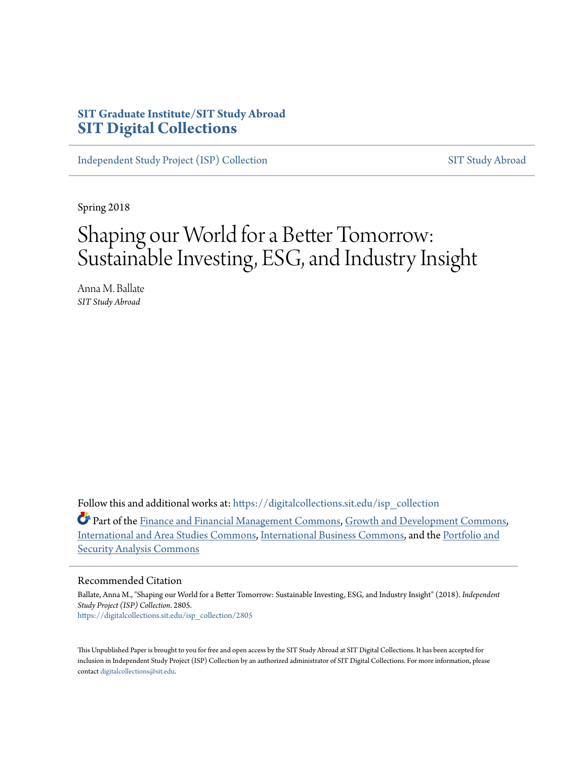# **SIT Graduate Institute/SIT Study Abroad [SIT Digital Collections](https://digitalcollections.sit.edu?utm_source=digitalcollections.sit.edu%2Fisp_collection%2F2805&utm_medium=PDF&utm_campaign=PDFCoverPages)**

[Independent Study Project \(ISP\) Collection](https://digitalcollections.sit.edu/isp_collection?utm_source=digitalcollections.sit.edu%2Fisp_collection%2F2805&utm_medium=PDF&utm_campaign=PDFCoverPages) [SIT Study Abroad](https://digitalcollections.sit.edu/study_abroad?utm_source=digitalcollections.sit.edu%2Fisp_collection%2F2805&utm_medium=PDF&utm_campaign=PDFCoverPages)

Spring 2018

# Shaping our World for a Better Tomorrow: Sustainable Investing, ESG, and Industry Insight

Anna M. Ballate *SIT Study Abroad*

Follow this and additional works at: [https://digitalcollections.sit.edu/isp\\_collection](https://digitalcollections.sit.edu/isp_collection?utm_source=digitalcollections.sit.edu%2Fisp_collection%2F2805&utm_medium=PDF&utm_campaign=PDFCoverPages)

Part of the [Finance and Financial Management Commons](http://network.bepress.com/hgg/discipline/631?utm_source=digitalcollections.sit.edu%2Fisp_collection%2F2805&utm_medium=PDF&utm_campaign=PDFCoverPages), [Growth and Development Commons](http://network.bepress.com/hgg/discipline/346?utm_source=digitalcollections.sit.edu%2Fisp_collection%2F2805&utm_medium=PDF&utm_campaign=PDFCoverPages), [International and Area Studies Commons](http://network.bepress.com/hgg/discipline/360?utm_source=digitalcollections.sit.edu%2Fisp_collection%2F2805&utm_medium=PDF&utm_campaign=PDFCoverPages), [International Business Commons,](http://network.bepress.com/hgg/discipline/634?utm_source=digitalcollections.sit.edu%2Fisp_collection%2F2805&utm_medium=PDF&utm_campaign=PDFCoverPages) and the [Portfolio and](http://network.bepress.com/hgg/discipline/640?utm_source=digitalcollections.sit.edu%2Fisp_collection%2F2805&utm_medium=PDF&utm_campaign=PDFCoverPages) [Security Analysis Commons](http://network.bepress.com/hgg/discipline/640?utm_source=digitalcollections.sit.edu%2Fisp_collection%2F2805&utm_medium=PDF&utm_campaign=PDFCoverPages)

#### Recommended Citation

Ballate, Anna M., "Shaping our World for a Better Tomorrow: Sustainable Investing, ESG, and Industry Insight" (2018). *Independent Study Project (ISP) Collection*. 2805. [https://digitalcollections.sit.edu/isp\\_collection/2805](https://digitalcollections.sit.edu/isp_collection/2805?utm_source=digitalcollections.sit.edu%2Fisp_collection%2F2805&utm_medium=PDF&utm_campaign=PDFCoverPages)

This Unpublished Paper is brought to you for free and open access by the SIT Study Abroad at SIT Digital Collections. It has been accepted for inclusion in Independent Study Project (ISP) Collection by an authorized administrator of SIT Digital Collections. For more information, please contact [digitalcollections@sit.edu](mailto:digitalcollections@sit.edu).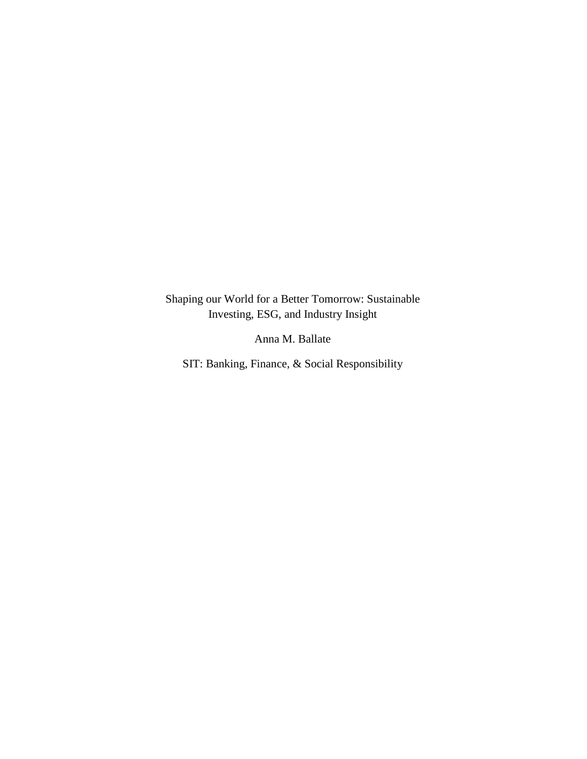Shaping our World for a Better Tomorrow: Sustainable Investing, ESG, and Industry Insight

Anna M. Ballate

SIT: Banking, Finance, & Social Responsibility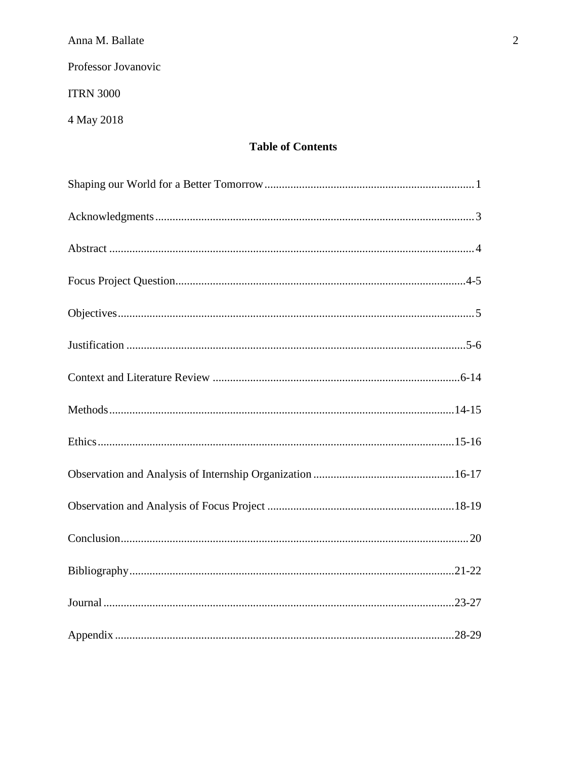Professor Jovanovic

**ITRN 3000** 

4 May 2018

# **Table of Contents**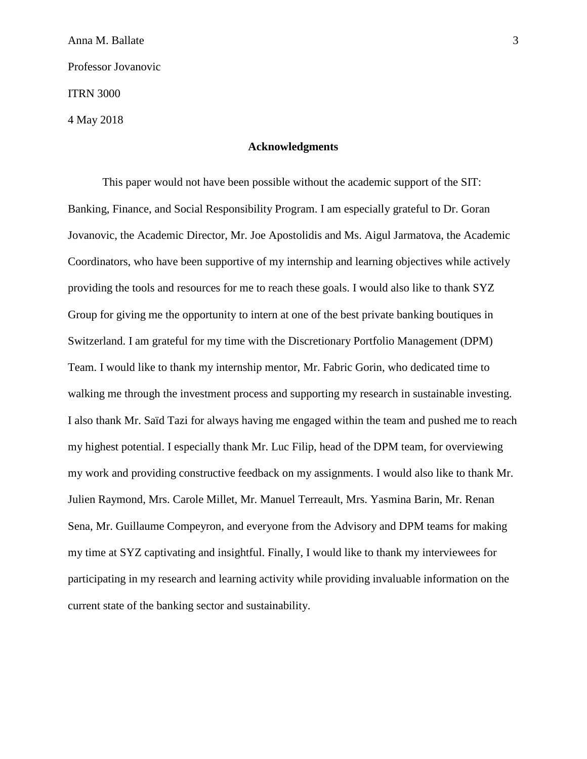Anna M. Ballate 3 Professor Jovanovic ITRN 3000 4 May 2018

## **Acknowledgments**

This paper would not have been possible without the academic support of the SIT: Banking, Finance, and Social Responsibility Program. I am especially grateful to Dr. Goran Jovanovic, the Academic Director, Mr. Joe Apostolidis and Ms. Aigul Jarmatova, the Academic Coordinators, who have been supportive of my internship and learning objectives while actively providing the tools and resources for me to reach these goals. I would also like to thank SYZ Group for giving me the opportunity to intern at one of the best private banking boutiques in Switzerland. I am grateful for my time with the Discretionary Portfolio Management (DPM) Team. I would like to thank my internship mentor, Mr. Fabric Gorin, who dedicated time to walking me through the investment process and supporting my research in sustainable investing. I also thank Mr. Saïd Tazi for always having me engaged within the team and pushed me to reach my highest potential. I especially thank Mr. Luc Filip, head of the DPM team, for overviewing my work and providing constructive feedback on my assignments. I would also like to thank Mr. Julien Raymond, Mrs. Carole Millet, Mr. Manuel Terreault, Mrs. Yasmina Barin, Mr. Renan Sena, Mr. Guillaume Compeyron, and everyone from the Advisory and DPM teams for making my time at SYZ captivating and insightful. Finally, I would like to thank my interviewees for participating in my research and learning activity while providing invaluable information on the current state of the banking sector and sustainability.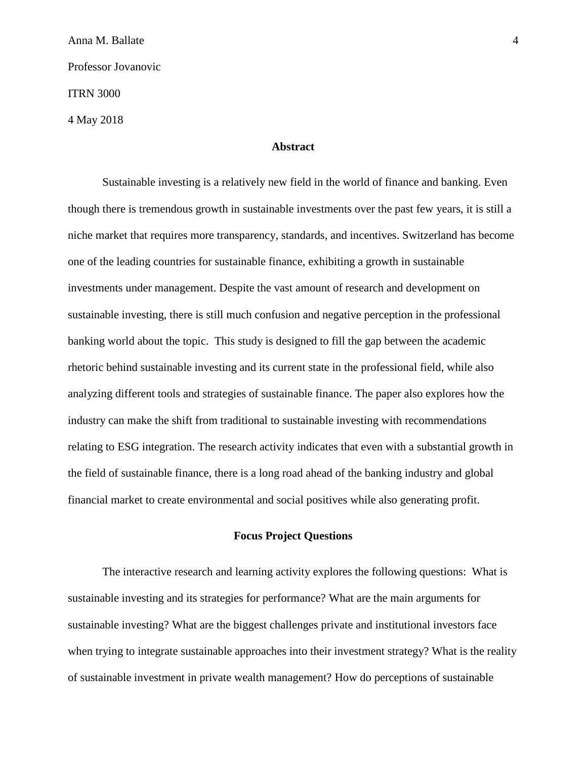Anna M. Ballate 4 Professor Jovanovic ITRN 3000 4 May 2018

## **Abstract**

Sustainable investing is a relatively new field in the world of finance and banking. Even though there is tremendous growth in sustainable investments over the past few years, it is still a niche market that requires more transparency, standards, and incentives. Switzerland has become one of the leading countries for sustainable finance, exhibiting a growth in sustainable investments under management. Despite the vast amount of research and development on sustainable investing, there is still much confusion and negative perception in the professional banking world about the topic. This study is designed to fill the gap between the academic rhetoric behind sustainable investing and its current state in the professional field, while also analyzing different tools and strategies of sustainable finance. The paper also explores how the industry can make the shift from traditional to sustainable investing with recommendations relating to ESG integration. The research activity indicates that even with a substantial growth in the field of sustainable finance, there is a long road ahead of the banking industry and global financial market to create environmental and social positives while also generating profit.

## **Focus Project Questions**

The interactive research and learning activity explores the following questions: What is sustainable investing and its strategies for performance? What are the main arguments for sustainable investing? What are the biggest challenges private and institutional investors face when trying to integrate sustainable approaches into their investment strategy? What is the reality of sustainable investment in private wealth management? How do perceptions of sustainable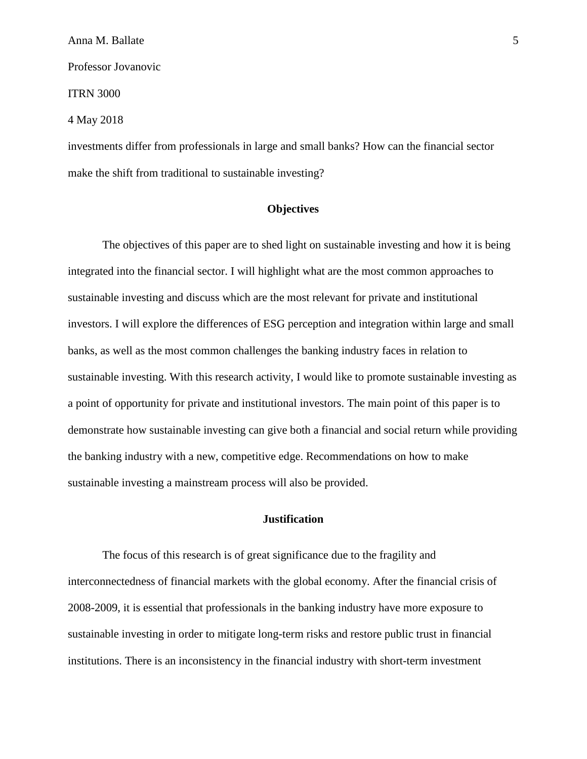ITRN 3000

4 May 2018

investments differ from professionals in large and small banks? How can the financial sector make the shift from traditional to sustainable investing?

## **Objectives**

The objectives of this paper are to shed light on sustainable investing and how it is being integrated into the financial sector. I will highlight what are the most common approaches to sustainable investing and discuss which are the most relevant for private and institutional investors. I will explore the differences of ESG perception and integration within large and small banks, as well as the most common challenges the banking industry faces in relation to sustainable investing. With this research activity, I would like to promote sustainable investing as a point of opportunity for private and institutional investors. The main point of this paper is to demonstrate how sustainable investing can give both a financial and social return while providing the banking industry with a new, competitive edge. Recommendations on how to make sustainable investing a mainstream process will also be provided.

## **Justification**

The focus of this research is of great significance due to the fragility and interconnectedness of financial markets with the global economy. After the financial crisis of 2008-2009, it is essential that professionals in the banking industry have more exposure to sustainable investing in order to mitigate long-term risks and restore public trust in financial institutions. There is an inconsistency in the financial industry with short-term investment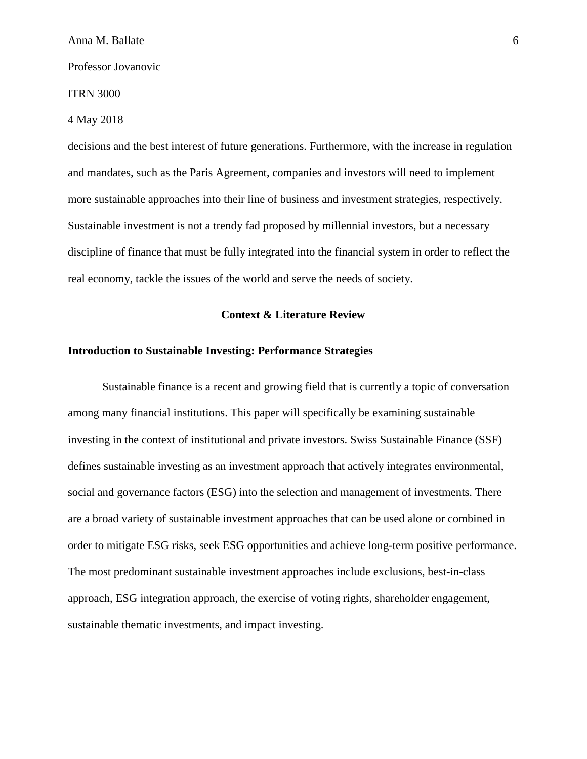#### ITRN 3000

## 4 May 2018

decisions and the best interest of future generations. Furthermore, with the increase in regulation and mandates, such as the Paris Agreement, companies and investors will need to implement more sustainable approaches into their line of business and investment strategies, respectively. Sustainable investment is not a trendy fad proposed by millennial investors, but a necessary discipline of finance that must be fully integrated into the financial system in order to reflect the real economy, tackle the issues of the world and serve the needs of society.

## **Context & Literature Review**

## **Introduction to Sustainable Investing: Performance Strategies**

Sustainable finance is a recent and growing field that is currently a topic of conversation among many financial institutions. This paper will specifically be examining sustainable investing in the context of institutional and private investors. Swiss Sustainable Finance (SSF) defines sustainable investing as an investment approach that actively integrates environmental, social and governance factors (ESG) into the selection and management of investments. There are a broad variety of sustainable investment approaches that can be used alone or combined in order to mitigate ESG risks, seek ESG opportunities and achieve long-term positive performance. The most predominant sustainable investment approaches include exclusions, best-in-class approach, ESG integration approach, the exercise of voting rights, shareholder engagement, sustainable thematic investments, and impact investing.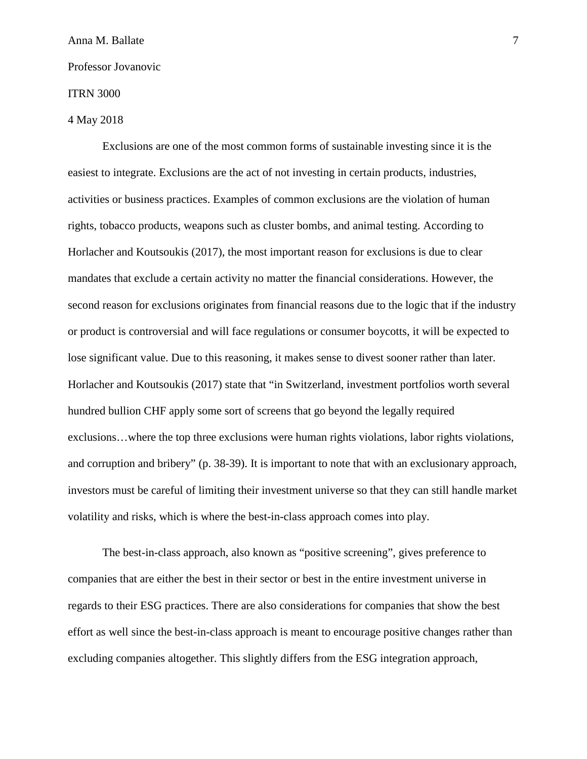## ITRN 3000

## 4 May 2018

Exclusions are one of the most common forms of sustainable investing since it is the easiest to integrate. Exclusions are the act of not investing in certain products, industries, activities or business practices. Examples of common exclusions are the violation of human rights, tobacco products, weapons such as cluster bombs, and animal testing. According to Horlacher and Koutsoukis (2017), the most important reason for exclusions is due to clear mandates that exclude a certain activity no matter the financial considerations. However, the second reason for exclusions originates from financial reasons due to the logic that if the industry or product is controversial and will face regulations or consumer boycotts, it will be expected to lose significant value. Due to this reasoning, it makes sense to divest sooner rather than later. Horlacher and Koutsoukis (2017) state that "in Switzerland, investment portfolios worth several hundred bullion CHF apply some sort of screens that go beyond the legally required exclusions…where the top three exclusions were human rights violations, labor rights violations, and corruption and bribery" (p. 38-39). It is important to note that with an exclusionary approach, investors must be careful of limiting their investment universe so that they can still handle market volatility and risks, which is where the best-in-class approach comes into play.

The best-in-class approach, also known as "positive screening", gives preference to companies that are either the best in their sector or best in the entire investment universe in regards to their ESG practices. There are also considerations for companies that show the best effort as well since the best-in-class approach is meant to encourage positive changes rather than excluding companies altogether. This slightly differs from the ESG integration approach,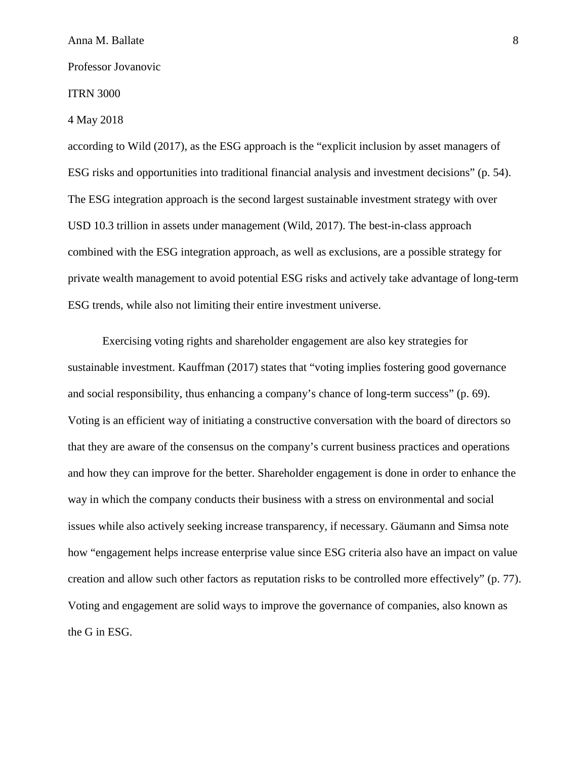#### ITRN 3000

4 May 2018

according to Wild (2017), as the ESG approach is the "explicit inclusion by asset managers of ESG risks and opportunities into traditional financial analysis and investment decisions" (p. 54). The ESG integration approach is the second largest sustainable investment strategy with over USD 10.3 trillion in assets under management (Wild, 2017). The best-in-class approach combined with the ESG integration approach, as well as exclusions, are a possible strategy for private wealth management to avoid potential ESG risks and actively take advantage of long-term ESG trends, while also not limiting their entire investment universe.

Exercising voting rights and shareholder engagement are also key strategies for sustainable investment. Kauffman (2017) states that "voting implies fostering good governance and social responsibility, thus enhancing a company's chance of long-term success" (p. 69). Voting is an efficient way of initiating a constructive conversation with the board of directors so that they are aware of the consensus on the company's current business practices and operations and how they can improve for the better. Shareholder engagement is done in order to enhance the way in which the company conducts their business with a stress on environmental and social issues while also actively seeking increase transparency, if necessary. Gäumann and Simsa note how "engagement helps increase enterprise value since ESG criteria also have an impact on value creation and allow such other factors as reputation risks to be controlled more effectively" (p. 77). Voting and engagement are solid ways to improve the governance of companies, also known as the G in ESG.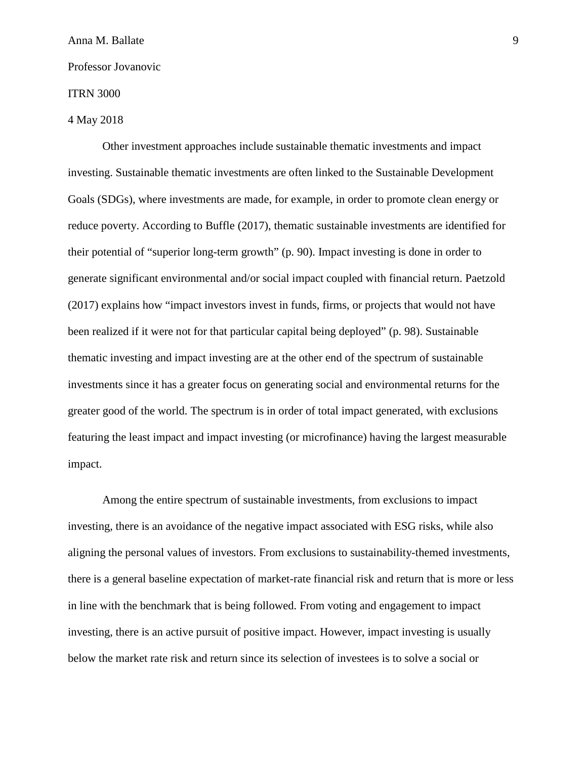## ITRN 3000

## 4 May 2018

Other investment approaches include sustainable thematic investments and impact investing. Sustainable thematic investments are often linked to the Sustainable Development Goals (SDGs), where investments are made, for example, in order to promote clean energy or reduce poverty. According to Buffle (2017), thematic sustainable investments are identified for their potential of "superior long-term growth" (p. 90). Impact investing is done in order to generate significant environmental and/or social impact coupled with financial return. Paetzold (2017) explains how "impact investors invest in funds, firms, or projects that would not have been realized if it were not for that particular capital being deployed" (p. 98). Sustainable thematic investing and impact investing are at the other end of the spectrum of sustainable investments since it has a greater focus on generating social and environmental returns for the greater good of the world. The spectrum is in order of total impact generated, with exclusions featuring the least impact and impact investing (or microfinance) having the largest measurable impact.

Among the entire spectrum of sustainable investments, from exclusions to impact investing, there is an avoidance of the negative impact associated with ESG risks, while also aligning the personal values of investors. From exclusions to sustainability-themed investments, there is a general baseline expectation of market-rate financial risk and return that is more or less in line with the benchmark that is being followed. From voting and engagement to impact investing, there is an active pursuit of positive impact. However, impact investing is usually below the market rate risk and return since its selection of investees is to solve a social or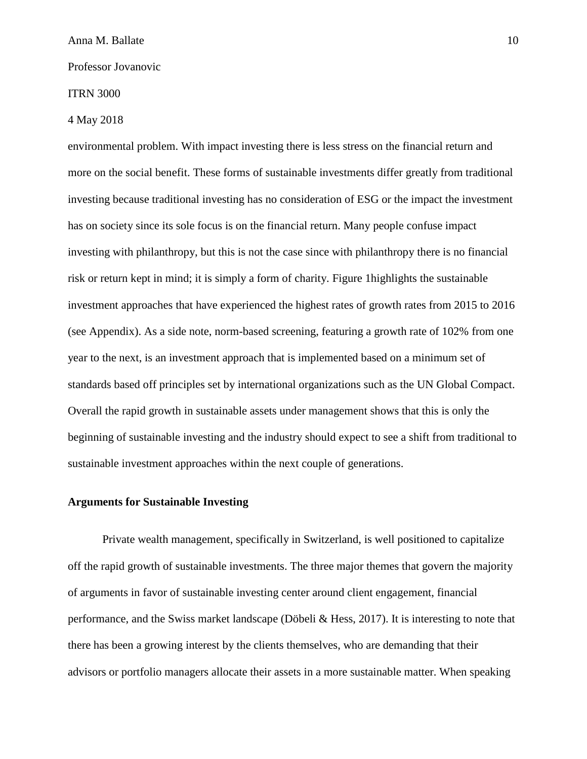## ITRN 3000

## 4 May 2018

environmental problem. With impact investing there is less stress on the financial return and more on the social benefit. These forms of sustainable investments differ greatly from traditional investing because traditional investing has no consideration of ESG or the impact the investment has on society since its sole focus is on the financial return. Many people confuse impact investing with philanthropy, but this is not the case since with philanthropy there is no financial risk or return kept in mind; it is simply a form of charity. Figure 1highlights the sustainable investment approaches that have experienced the highest rates of growth rates from 2015 to 2016 (see Appendix). As a side note, norm-based screening, featuring a growth rate of 102% from one year to the next, is an investment approach that is implemented based on a minimum set of standards based off principles set by international organizations such as the UN Global Compact. Overall the rapid growth in sustainable assets under management shows that this is only the beginning of sustainable investing and the industry should expect to see a shift from traditional to sustainable investment approaches within the next couple of generations.

## **Arguments for Sustainable Investing**

Private wealth management, specifically in Switzerland, is well positioned to capitalize off the rapid growth of sustainable investments. The three major themes that govern the majority of arguments in favor of sustainable investing center around client engagement, financial performance, and the Swiss market landscape (Döbeli & Hess, 2017). It is interesting to note that there has been a growing interest by the clients themselves, who are demanding that their advisors or portfolio managers allocate their assets in a more sustainable matter. When speaking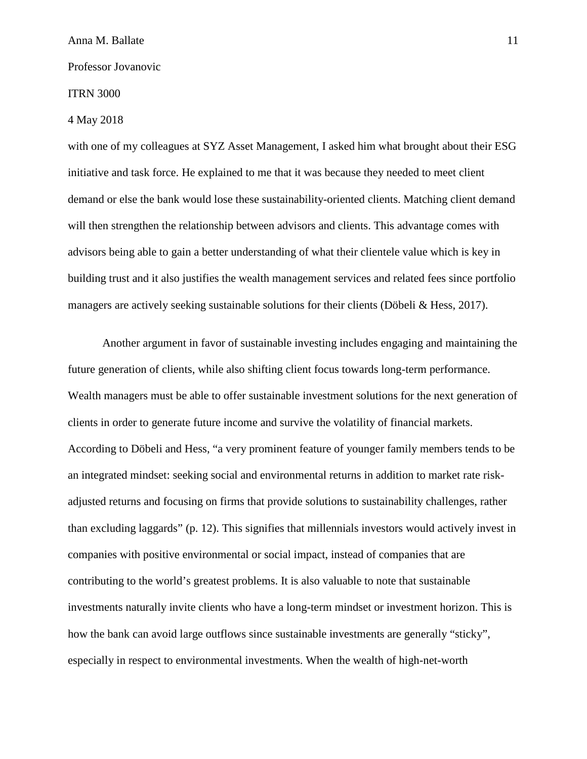## ITRN 3000

#### 4 May 2018

with one of my colleagues at SYZ Asset Management, I asked him what brought about their ESG initiative and task force. He explained to me that it was because they needed to meet client demand or else the bank would lose these sustainability-oriented clients. Matching client demand will then strengthen the relationship between advisors and clients. This advantage comes with advisors being able to gain a better understanding of what their clientele value which is key in building trust and it also justifies the wealth management services and related fees since portfolio managers are actively seeking sustainable solutions for their clients (Döbeli & Hess, 2017).

Another argument in favor of sustainable investing includes engaging and maintaining the future generation of clients, while also shifting client focus towards long-term performance. Wealth managers must be able to offer sustainable investment solutions for the next generation of clients in order to generate future income and survive the volatility of financial markets. According to Döbeli and Hess, "a very prominent feature of younger family members tends to be an integrated mindset: seeking social and environmental returns in addition to market rate riskadjusted returns and focusing on firms that provide solutions to sustainability challenges, rather than excluding laggards" (p. 12). This signifies that millennials investors would actively invest in companies with positive environmental or social impact, instead of companies that are contributing to the world's greatest problems. It is also valuable to note that sustainable investments naturally invite clients who have a long-term mindset or investment horizon. This is how the bank can avoid large outflows since sustainable investments are generally "sticky", especially in respect to environmental investments. When the wealth of high-net-worth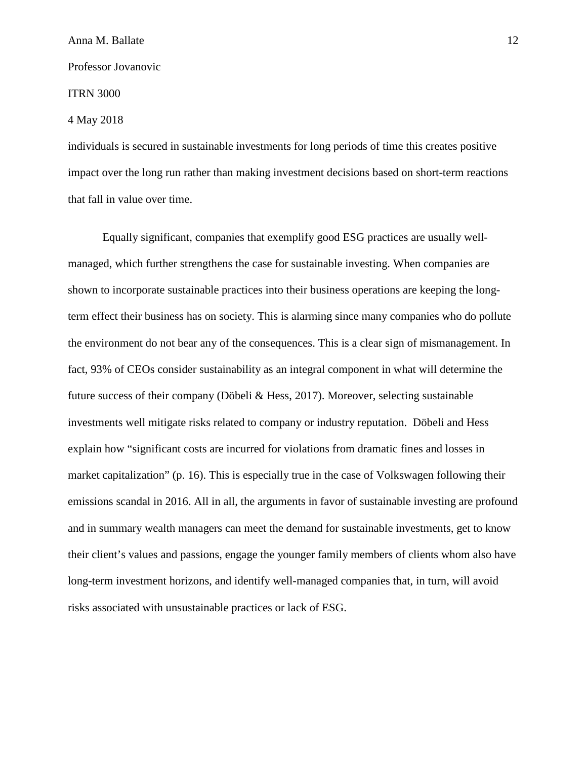## ITRN 3000

## 4 May 2018

individuals is secured in sustainable investments for long periods of time this creates positive impact over the long run rather than making investment decisions based on short-term reactions that fall in value over time.

Equally significant, companies that exemplify good ESG practices are usually wellmanaged, which further strengthens the case for sustainable investing. When companies are shown to incorporate sustainable practices into their business operations are keeping the longterm effect their business has on society. This is alarming since many companies who do pollute the environment do not bear any of the consequences. This is a clear sign of mismanagement. In fact, 93% of CEOs consider sustainability as an integral component in what will determine the future success of their company (Döbeli & Hess, 2017). Moreover, selecting sustainable investments well mitigate risks related to company or industry reputation. Döbeli and Hess explain how "significant costs are incurred for violations from dramatic fines and losses in market capitalization" (p. 16). This is especially true in the case of Volkswagen following their emissions scandal in 2016. All in all, the arguments in favor of sustainable investing are profound and in summary wealth managers can meet the demand for sustainable investments, get to know their client's values and passions, engage the younger family members of clients whom also have long-term investment horizons, and identify well-managed companies that, in turn, will avoid risks associated with unsustainable practices or lack of ESG.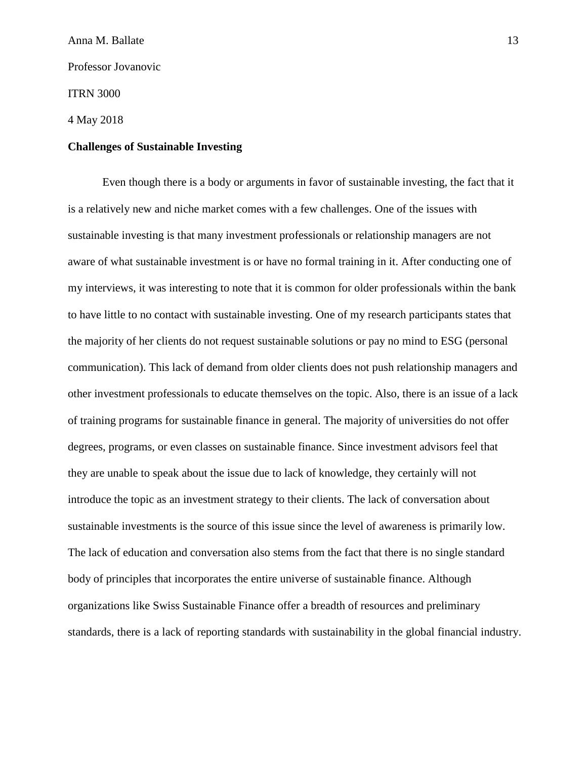ITRN 3000

4 May 2018

## **Challenges of Sustainable Investing**

Even though there is a body or arguments in favor of sustainable investing, the fact that it is a relatively new and niche market comes with a few challenges. One of the issues with sustainable investing is that many investment professionals or relationship managers are not aware of what sustainable investment is or have no formal training in it. After conducting one of my interviews, it was interesting to note that it is common for older professionals within the bank to have little to no contact with sustainable investing. One of my research participants states that the majority of her clients do not request sustainable solutions or pay no mind to ESG (personal communication). This lack of demand from older clients does not push relationship managers and other investment professionals to educate themselves on the topic. Also, there is an issue of a lack of training programs for sustainable finance in general. The majority of universities do not offer degrees, programs, or even classes on sustainable finance. Since investment advisors feel that they are unable to speak about the issue due to lack of knowledge, they certainly will not introduce the topic as an investment strategy to their clients. The lack of conversation about sustainable investments is the source of this issue since the level of awareness is primarily low. The lack of education and conversation also stems from the fact that there is no single standard body of principles that incorporates the entire universe of sustainable finance. Although organizations like Swiss Sustainable Finance offer a breadth of resources and preliminary standards, there is a lack of reporting standards with sustainability in the global financial industry.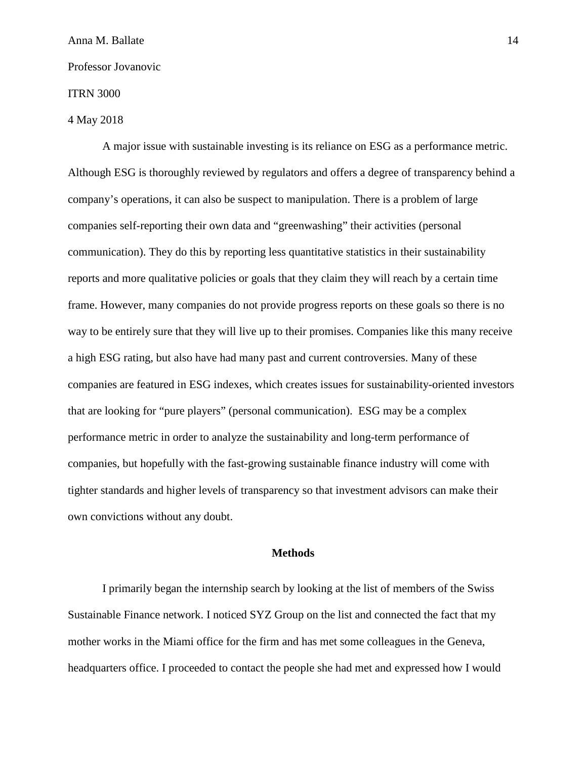#### ITRN 3000

## 4 May 2018

A major issue with sustainable investing is its reliance on ESG as a performance metric. Although ESG is thoroughly reviewed by regulators and offers a degree of transparency behind a company's operations, it can also be suspect to manipulation. There is a problem of large companies self-reporting their own data and "greenwashing" their activities (personal communication). They do this by reporting less quantitative statistics in their sustainability reports and more qualitative policies or goals that they claim they will reach by a certain time frame. However, many companies do not provide progress reports on these goals so there is no way to be entirely sure that they will live up to their promises. Companies like this many receive a high ESG rating, but also have had many past and current controversies. Many of these companies are featured in ESG indexes, which creates issues for sustainability-oriented investors that are looking for "pure players" (personal communication). ESG may be a complex performance metric in order to analyze the sustainability and long-term performance of companies, but hopefully with the fast-growing sustainable finance industry will come with tighter standards and higher levels of transparency so that investment advisors can make their own convictions without any doubt.

## **Methods**

I primarily began the internship search by looking at the list of members of the Swiss Sustainable Finance network. I noticed SYZ Group on the list and connected the fact that my mother works in the Miami office for the firm and has met some colleagues in the Geneva, headquarters office. I proceeded to contact the people she had met and expressed how I would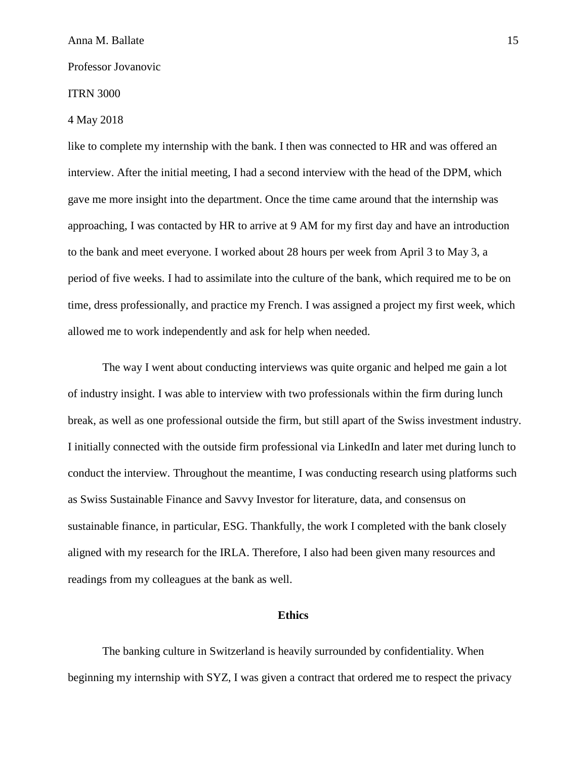#### ITRN 3000

## 4 May 2018

like to complete my internship with the bank. I then was connected to HR and was offered an interview. After the initial meeting, I had a second interview with the head of the DPM, which gave me more insight into the department. Once the time came around that the internship was approaching, I was contacted by HR to arrive at 9 AM for my first day and have an introduction to the bank and meet everyone. I worked about 28 hours per week from April 3 to May 3, a period of five weeks. I had to assimilate into the culture of the bank, which required me to be on time, dress professionally, and practice my French. I was assigned a project my first week, which allowed me to work independently and ask for help when needed.

The way I went about conducting interviews was quite organic and helped me gain a lot of industry insight. I was able to interview with two professionals within the firm during lunch break, as well as one professional outside the firm, but still apart of the Swiss investment industry. I initially connected with the outside firm professional via LinkedIn and later met during lunch to conduct the interview. Throughout the meantime, I was conducting research using platforms such as Swiss Sustainable Finance and Savvy Investor for literature, data, and consensus on sustainable finance, in particular, ESG. Thankfully, the work I completed with the bank closely aligned with my research for the IRLA. Therefore, I also had been given many resources and readings from my colleagues at the bank as well.

#### **Ethics**

The banking culture in Switzerland is heavily surrounded by confidentiality. When beginning my internship with SYZ, I was given a contract that ordered me to respect the privacy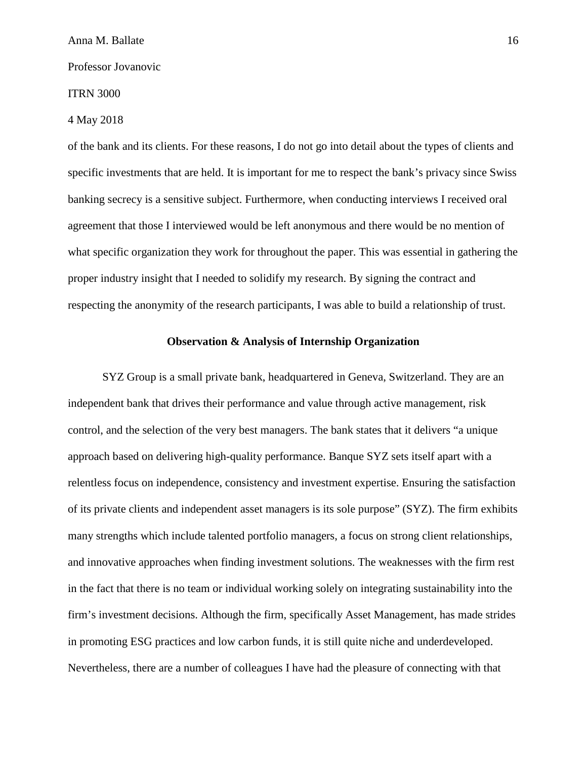#### ITRN 3000

#### 4 May 2018

of the bank and its clients. For these reasons, I do not go into detail about the types of clients and specific investments that are held. It is important for me to respect the bank's privacy since Swiss banking secrecy is a sensitive subject. Furthermore, when conducting interviews I received oral agreement that those I interviewed would be left anonymous and there would be no mention of what specific organization they work for throughout the paper. This was essential in gathering the proper industry insight that I needed to solidify my research. By signing the contract and respecting the anonymity of the research participants, I was able to build a relationship of trust.

#### **Observation & Analysis of Internship Organization**

SYZ Group is a small private bank, headquartered in Geneva, Switzerland. They are an independent bank that drives their performance and value through active management, risk control, and the selection of the very best managers. The bank states that it delivers "a unique approach based on delivering high-quality performance. Banque SYZ sets itself apart with a relentless focus on independence, consistency and investment expertise. Ensuring the satisfaction of its private clients and independent asset managers is its sole purpose" (SYZ). The firm exhibits many strengths which include talented portfolio managers, a focus on strong client relationships, and innovative approaches when finding investment solutions. The weaknesses with the firm rest in the fact that there is no team or individual working solely on integrating sustainability into the firm's investment decisions. Although the firm, specifically Asset Management, has made strides in promoting ESG practices and low carbon funds, it is still quite niche and underdeveloped. Nevertheless, there are a number of colleagues I have had the pleasure of connecting with that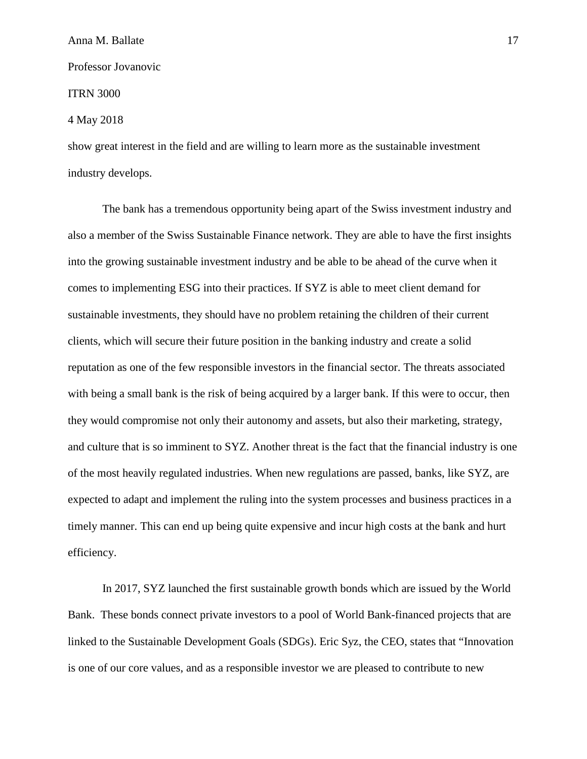ITRN 3000

#### 4 May 2018

show great interest in the field and are willing to learn more as the sustainable investment industry develops.

The bank has a tremendous opportunity being apart of the Swiss investment industry and also a member of the Swiss Sustainable Finance network. They are able to have the first insights into the growing sustainable investment industry and be able to be ahead of the curve when it comes to implementing ESG into their practices. If SYZ is able to meet client demand for sustainable investments, they should have no problem retaining the children of their current clients, which will secure their future position in the banking industry and create a solid reputation as one of the few responsible investors in the financial sector. The threats associated with being a small bank is the risk of being acquired by a larger bank. If this were to occur, then they would compromise not only their autonomy and assets, but also their marketing, strategy, and culture that is so imminent to SYZ. Another threat is the fact that the financial industry is one of the most heavily regulated industries. When new regulations are passed, banks, like SYZ, are expected to adapt and implement the ruling into the system processes and business practices in a timely manner. This can end up being quite expensive and incur high costs at the bank and hurt efficiency.

In 2017, SYZ launched the first sustainable growth bonds which are issued by the World Bank. These bonds connect private investors to a pool of World Bank-financed projects that are linked to the Sustainable Development Goals (SDGs). Eric Syz, the CEO, states that "Innovation is one of our core values, and as a responsible investor we are pleased to contribute to new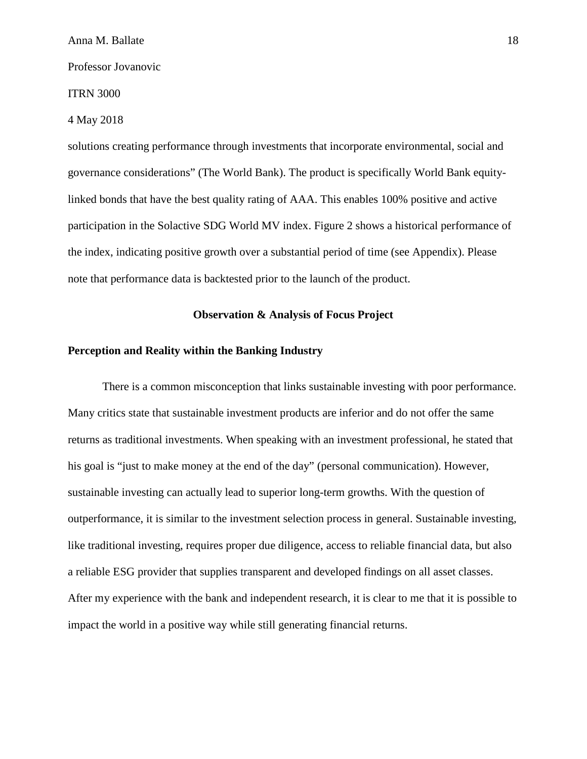#### ITRN 3000

#### 4 May 2018

solutions creating performance through investments that incorporate environmental, social and governance considerations" (The World Bank). The product is specifically World Bank equitylinked bonds that have the best quality rating of AAA. This enables 100% positive and active participation in the Solactive SDG World MV index. Figure 2 shows a historical performance of the index, indicating positive growth over a substantial period of time (see Appendix). Please note that performance data is backtested prior to the launch of the product.

## **Observation & Analysis of Focus Project**

## **Perception and Reality within the Banking Industry**

There is a common misconception that links sustainable investing with poor performance. Many critics state that sustainable investment products are inferior and do not offer the same returns as traditional investments. When speaking with an investment professional, he stated that his goal is "just to make money at the end of the day" (personal communication). However, sustainable investing can actually lead to superior long-term growths. With the question of outperformance, it is similar to the investment selection process in general. Sustainable investing, like traditional investing, requires proper due diligence, access to reliable financial data, but also a reliable ESG provider that supplies transparent and developed findings on all asset classes. After my experience with the bank and independent research, it is clear to me that it is possible to impact the world in a positive way while still generating financial returns.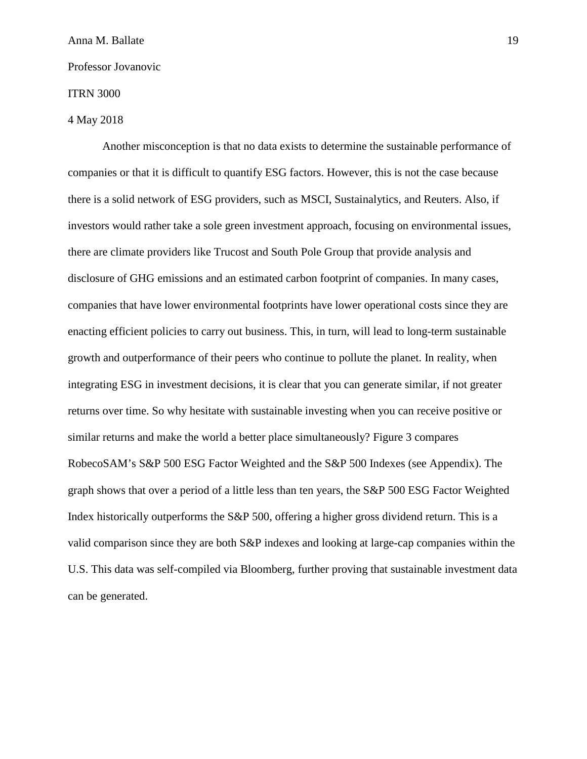#### ITRN 3000

## 4 May 2018

Another misconception is that no data exists to determine the sustainable performance of companies or that it is difficult to quantify ESG factors. However, this is not the case because there is a solid network of ESG providers, such as MSCI, Sustainalytics, and Reuters. Also, if investors would rather take a sole green investment approach, focusing on environmental issues, there are climate providers like Trucost and South Pole Group that provide analysis and disclosure of GHG emissions and an estimated carbon footprint of companies. In many cases, companies that have lower environmental footprints have lower operational costs since they are enacting efficient policies to carry out business. This, in turn, will lead to long-term sustainable growth and outperformance of their peers who continue to pollute the planet. In reality, when integrating ESG in investment decisions, it is clear that you can generate similar, if not greater returns over time. So why hesitate with sustainable investing when you can receive positive or similar returns and make the world a better place simultaneously? Figure 3 compares RobecoSAM's S&P 500 ESG Factor Weighted and the S&P 500 Indexes (see Appendix). The graph shows that over a period of a little less than ten years, the S&P 500 ESG Factor Weighted Index historically outperforms the S&P 500, offering a higher gross dividend return. This is a valid comparison since they are both S&P indexes and looking at large-cap companies within the U.S. This data was self-compiled via Bloomberg, further proving that sustainable investment data can be generated.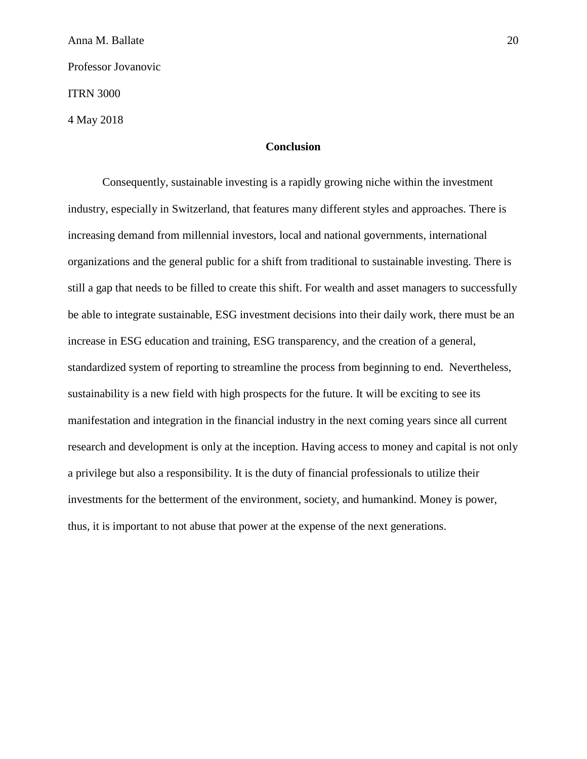Anna M. Ballate 20 Professor Jovanovic ITRN 3000 4 May 2018

## **Conclusion**

Consequently, sustainable investing is a rapidly growing niche within the investment industry, especially in Switzerland, that features many different styles and approaches. There is increasing demand from millennial investors, local and national governments, international organizations and the general public for a shift from traditional to sustainable investing. There is still a gap that needs to be filled to create this shift. For wealth and asset managers to successfully be able to integrate sustainable, ESG investment decisions into their daily work, there must be an increase in ESG education and training, ESG transparency, and the creation of a general, standardized system of reporting to streamline the process from beginning to end. Nevertheless, sustainability is a new field with high prospects for the future. It will be exciting to see its manifestation and integration in the financial industry in the next coming years since all current research and development is only at the inception. Having access to money and capital is not only a privilege but also a responsibility. It is the duty of financial professionals to utilize their investments for the betterment of the environment, society, and humankind. Money is power, thus, it is important to not abuse that power at the expense of the next generations.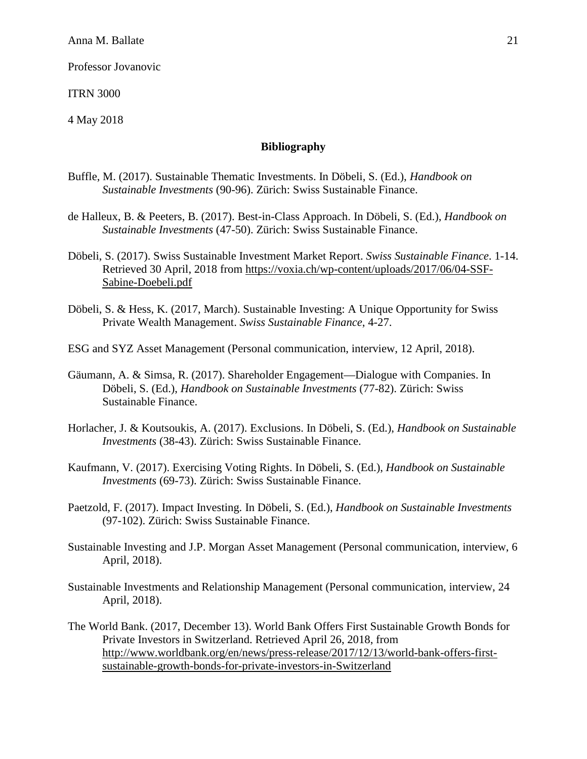ITRN 3000

4 May 2018

## **Bibliography**

- Buffle, M. (2017). Sustainable Thematic Investments. In Döbeli, S. (Ed.), *Handbook on Sustainable Investments* (90-96). Zürich: Swiss Sustainable Finance.
- de Halleux, B. & Peeters, B. (2017). Best-in-Class Approach. In Döbeli, S. (Ed.), *Handbook on Sustainable Investments* (47-50). Zürich: Swiss Sustainable Finance.
- Döbeli, S. (2017). Swiss Sustainable Investment Market Report. *Swiss Sustainable Finance*. 1-14. Retrieved 30 April, 2018 from [https://voxia.ch/wp-content/uploads/2017/06/04-SSF-](https://voxia.ch/wp-content/uploads/2017/06/04-SSF-Sabine-Doebeli.pdf)[Sabine-Doebeli.pdf](https://voxia.ch/wp-content/uploads/2017/06/04-SSF-Sabine-Doebeli.pdf)
- Döbeli, S. & Hess, K. (2017, March). Sustainable Investing: A Unique Opportunity for Swiss Private Wealth Management. *Swiss Sustainable Finance*, 4-27.

ESG and SYZ Asset Management (Personal communication, interview, 12 April, 2018).

- Gäumann, A. & Simsa, R. (2017). Shareholder Engagement—Dialogue with Companies. In Döbeli, S. (Ed.), *Handbook on Sustainable Investments* (77-82). Zürich: Swiss Sustainable Finance.
- Horlacher, J. & Koutsoukis, A. (2017). Exclusions. In Döbeli, S. (Ed.), *Handbook on Sustainable Investments* (38-43). Zürich: Swiss Sustainable Finance.
- Kaufmann, V. (2017). Exercising Voting Rights. In Döbeli, S. (Ed.), *Handbook on Sustainable Investments* (69-73). Zürich: Swiss Sustainable Finance.
- Paetzold, F. (2017). Impact Investing. In Döbeli, S. (Ed.), *Handbook on Sustainable Investments*  (97-102). Zürich: Swiss Sustainable Finance.
- Sustainable Investing and J.P. Morgan Asset Management (Personal communication, interview, 6 April, 2018).
- Sustainable Investments and Relationship Management (Personal communication, interview, 24 April, 2018).
- The World Bank. (2017, December 13). World Bank Offers First Sustainable Growth Bonds for Private Investors in Switzerland. Retrieved April 26, 2018, from http://www.worldbank.org/en/news/press-release/2017/12/13/world-bank-offers-firstsustainable-growth-bonds-for-private-investors-in-Switzerland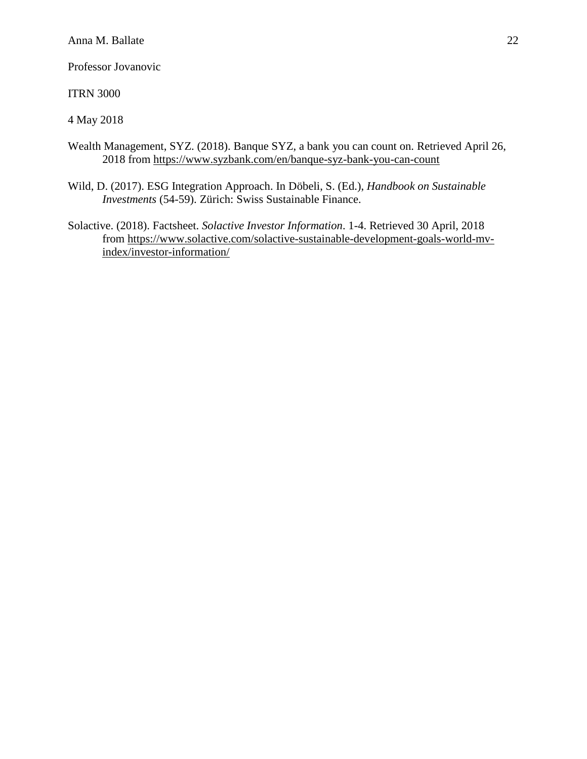ITRN 3000

4 May 2018

- Wealth Management, SYZ. (2018). Banque SYZ, a bank you can count on. Retrieved April 26, 2018 from<https://www.syzbank.com/en/banque-syz-bank-you-can-count>
- Wild, D. (2017). ESG Integration Approach. In Döbeli, S. (Ed.), *Handbook on Sustainable Investments* (54-59). Zürich: Swiss Sustainable Finance.
- Solactive. (2018). Factsheet. *Solactive Investor Information*. 1-4. Retrieved 30 April, 2018 from [https://www.solactive.com/solactive-sustainable-development-goals-world-mv](https://www.solactive.com/solactive-sustainable-development-goals-world-mv-index/investor-information/)[index/investor-information/](https://www.solactive.com/solactive-sustainable-development-goals-world-mv-index/investor-information/)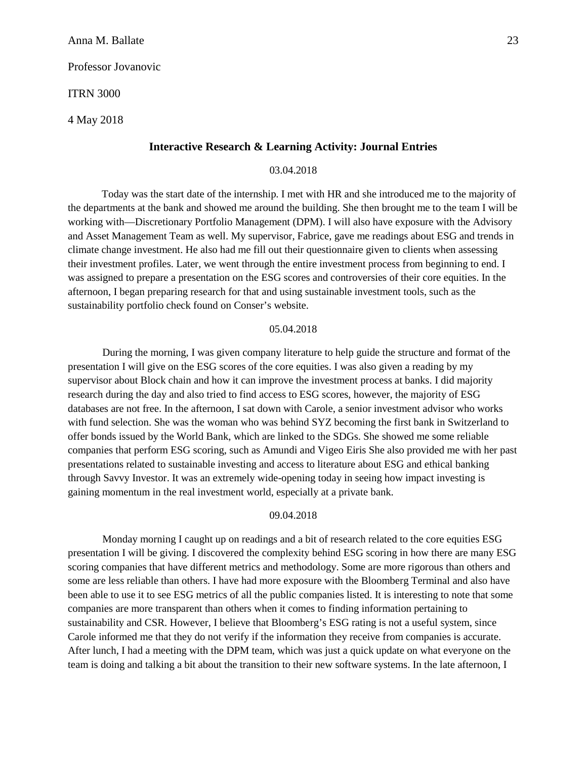ITRN 3000

4 May 2018

## **Interactive Research & Learning Activity: Journal Entries**

## 03.04.2018

Today was the start date of the internship. I met with HR and she introduced me to the majority of the departments at the bank and showed me around the building. She then brought me to the team I will be working with—Discretionary Portfolio Management (DPM). I will also have exposure with the Advisory and Asset Management Team as well. My supervisor, Fabrice, gave me readings about ESG and trends in climate change investment. He also had me fill out their questionnaire given to clients when assessing their investment profiles. Later, we went through the entire investment process from beginning to end. I was assigned to prepare a presentation on the ESG scores and controversies of their core equities. In the afternoon, I began preparing research for that and using sustainable investment tools, such as the sustainability portfolio check found on Conser's website.

#### 05.04.2018

During the morning, I was given company literature to help guide the structure and format of the presentation I will give on the ESG scores of the core equities. I was also given a reading by my supervisor about Block chain and how it can improve the investment process at banks. I did majority research during the day and also tried to find access to ESG scores, however, the majority of ESG databases are not free. In the afternoon, I sat down with Carole, a senior investment advisor who works with fund selection. She was the woman who was behind SYZ becoming the first bank in Switzerland to offer bonds issued by the World Bank, which are linked to the SDGs. She showed me some reliable companies that perform ESG scoring, such as Amundi and Vigeo Eiris She also provided me with her past presentations related to sustainable investing and access to literature about ESG and ethical banking through Savvy Investor. It was an extremely wide-opening today in seeing how impact investing is gaining momentum in the real investment world, especially at a private bank.

#### 09.04.2018

Monday morning I caught up on readings and a bit of research related to the core equities ESG presentation I will be giving. I discovered the complexity behind ESG scoring in how there are many ESG scoring companies that have different metrics and methodology. Some are more rigorous than others and some are less reliable than others. I have had more exposure with the Bloomberg Terminal and also have been able to use it to see ESG metrics of all the public companies listed. It is interesting to note that some companies are more transparent than others when it comes to finding information pertaining to sustainability and CSR. However, I believe that Bloomberg's ESG rating is not a useful system, since Carole informed me that they do not verify if the information they receive from companies is accurate. After lunch, I had a meeting with the DPM team, which was just a quick update on what everyone on the team is doing and talking a bit about the transition to their new software systems. In the late afternoon, I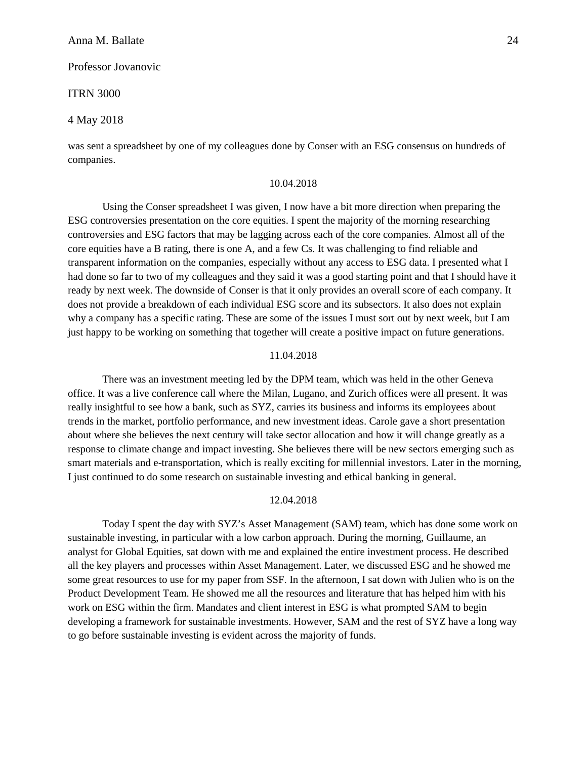#### Professor Jovanovic

#### ITRN 3000

#### 4 May 2018

was sent a spreadsheet by one of my colleagues done by Conser with an ESG consensus on hundreds of companies.

#### 10.04.2018

Using the Conser spreadsheet I was given, I now have a bit more direction when preparing the ESG controversies presentation on the core equities. I spent the majority of the morning researching controversies and ESG factors that may be lagging across each of the core companies. Almost all of the core equities have a B rating, there is one A, and a few Cs. It was challenging to find reliable and transparent information on the companies, especially without any access to ESG data. I presented what I had done so far to two of my colleagues and they said it was a good starting point and that I should have it ready by next week. The downside of Conser is that it only provides an overall score of each company. It does not provide a breakdown of each individual ESG score and its subsectors. It also does not explain why a company has a specific rating. These are some of the issues I must sort out by next week, but I am just happy to be working on something that together will create a positive impact on future generations.

#### 11.04.2018

There was an investment meeting led by the DPM team, which was held in the other Geneva office. It was a live conference call where the Milan, Lugano, and Zurich offices were all present. It was really insightful to see how a bank, such as SYZ, carries its business and informs its employees about trends in the market, portfolio performance, and new investment ideas. Carole gave a short presentation about where she believes the next century will take sector allocation and how it will change greatly as a response to climate change and impact investing. She believes there will be new sectors emerging such as smart materials and e-transportation, which is really exciting for millennial investors. Later in the morning, I just continued to do some research on sustainable investing and ethical banking in general.

## 12.04.2018

Today I spent the day with SYZ's Asset Management (SAM) team, which has done some work on sustainable investing, in particular with a low carbon approach. During the morning, Guillaume, an analyst for Global Equities, sat down with me and explained the entire investment process. He described all the key players and processes within Asset Management. Later, we discussed ESG and he showed me some great resources to use for my paper from SSF. In the afternoon, I sat down with Julien who is on the Product Development Team. He showed me all the resources and literature that has helped him with his work on ESG within the firm. Mandates and client interest in ESG is what prompted SAM to begin developing a framework for sustainable investments. However, SAM and the rest of SYZ have a long way to go before sustainable investing is evident across the majority of funds.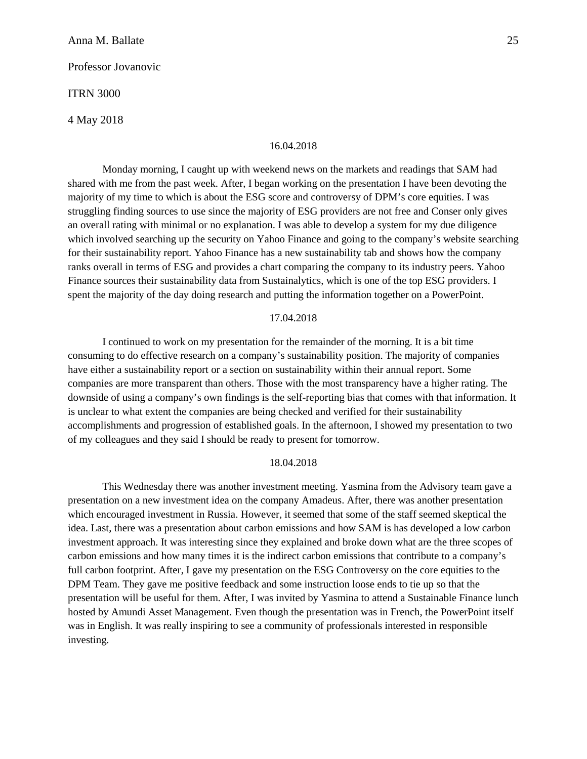Professor Jovanovic

ITRN 3000

4 May 2018

#### 16.04.2018

Monday morning, I caught up with weekend news on the markets and readings that SAM had shared with me from the past week. After, I began working on the presentation I have been devoting the majority of my time to which is about the ESG score and controversy of DPM's core equities. I was struggling finding sources to use since the majority of ESG providers are not free and Conser only gives an overall rating with minimal or no explanation. I was able to develop a system for my due diligence which involved searching up the security on Yahoo Finance and going to the company's website searching for their sustainability report. Yahoo Finance has a new sustainability tab and shows how the company ranks overall in terms of ESG and provides a chart comparing the company to its industry peers. Yahoo Finance sources their sustainability data from Sustainalytics, which is one of the top ESG providers. I spent the majority of the day doing research and putting the information together on a PowerPoint.

## 17.04.2018

I continued to work on my presentation for the remainder of the morning. It is a bit time consuming to do effective research on a company's sustainability position. The majority of companies have either a sustainability report or a section on sustainability within their annual report. Some companies are more transparent than others. Those with the most transparency have a higher rating. The downside of using a company's own findings is the self-reporting bias that comes with that information. It is unclear to what extent the companies are being checked and verified for their sustainability accomplishments and progression of established goals. In the afternoon, I showed my presentation to two of my colleagues and they said I should be ready to present for tomorrow.

#### 18.04.2018

This Wednesday there was another investment meeting. Yasmina from the Advisory team gave a presentation on a new investment idea on the company Amadeus. After, there was another presentation which encouraged investment in Russia. However, it seemed that some of the staff seemed skeptical the idea. Last, there was a presentation about carbon emissions and how SAM is has developed a low carbon investment approach. It was interesting since they explained and broke down what are the three scopes of carbon emissions and how many times it is the indirect carbon emissions that contribute to a company's full carbon footprint. After, I gave my presentation on the ESG Controversy on the core equities to the DPM Team. They gave me positive feedback and some instruction loose ends to tie up so that the presentation will be useful for them. After, I was invited by Yasmina to attend a Sustainable Finance lunch hosted by Amundi Asset Management. Even though the presentation was in French, the PowerPoint itself was in English. It was really inspiring to see a community of professionals interested in responsible investing.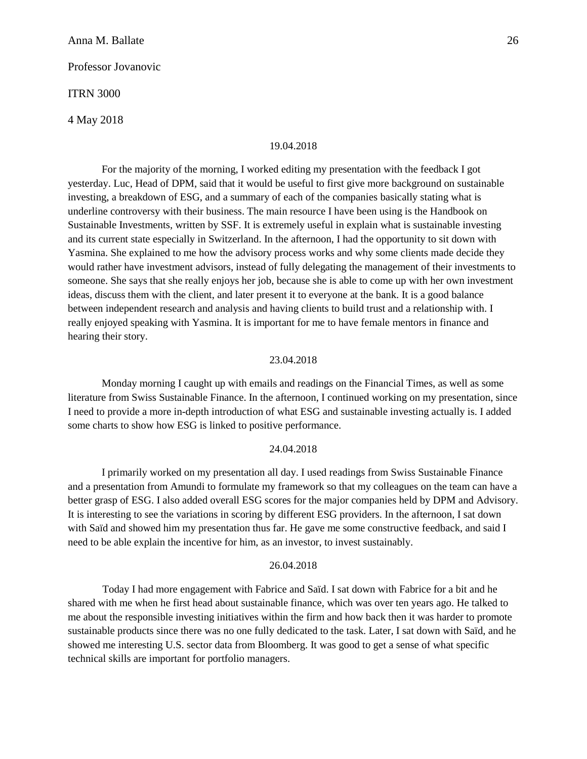#### Professor Jovanovic

#### ITRN 3000

4 May 2018

#### 19.04.2018

For the majority of the morning, I worked editing my presentation with the feedback I got yesterday. Luc, Head of DPM, said that it would be useful to first give more background on sustainable investing, a breakdown of ESG, and a summary of each of the companies basically stating what is underline controversy with their business. The main resource I have been using is the Handbook on Sustainable Investments, written by SSF. It is extremely useful in explain what is sustainable investing and its current state especially in Switzerland. In the afternoon, I had the opportunity to sit down with Yasmina. She explained to me how the advisory process works and why some clients made decide they would rather have investment advisors, instead of fully delegating the management of their investments to someone. She says that she really enjoys her job, because she is able to come up with her own investment ideas, discuss them with the client, and later present it to everyone at the bank. It is a good balance between independent research and analysis and having clients to build trust and a relationship with. I really enjoyed speaking with Yasmina. It is important for me to have female mentors in finance and hearing their story.

## 23.04.2018

Monday morning I caught up with emails and readings on the Financial Times, as well as some literature from Swiss Sustainable Finance. In the afternoon, I continued working on my presentation, since I need to provide a more in-depth introduction of what ESG and sustainable investing actually is. I added some charts to show how ESG is linked to positive performance.

## 24.04.2018

I primarily worked on my presentation all day. I used readings from Swiss Sustainable Finance and a presentation from Amundi to formulate my framework so that my colleagues on the team can have a better grasp of ESG. I also added overall ESG scores for the major companies held by DPM and Advisory. It is interesting to see the variations in scoring by different ESG providers. In the afternoon, I sat down with Saïd and showed him my presentation thus far. He gave me some constructive feedback, and said I need to be able explain the incentive for him, as an investor, to invest sustainably.

#### 26.04.2018

Today I had more engagement with Fabrice and Saïd. I sat down with Fabrice for a bit and he shared with me when he first head about sustainable finance, which was over ten years ago. He talked to me about the responsible investing initiatives within the firm and how back then it was harder to promote sustainable products since there was no one fully dedicated to the task. Later, I sat down with Saïd, and he showed me interesting U.S. sector data from Bloomberg. It was good to get a sense of what specific technical skills are important for portfolio managers.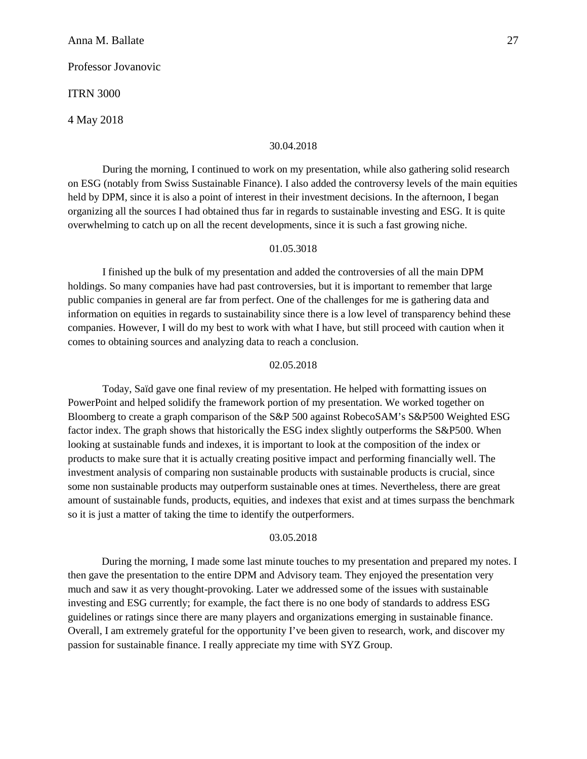Professor Jovanovic

ITRN 3000

4 May 2018

#### 30.04.2018

During the morning, I continued to work on my presentation, while also gathering solid research on ESG (notably from Swiss Sustainable Finance). I also added the controversy levels of the main equities held by DPM, since it is also a point of interest in their investment decisions. In the afternoon, I began organizing all the sources I had obtained thus far in regards to sustainable investing and ESG. It is quite overwhelming to catch up on all the recent developments, since it is such a fast growing niche.

#### 01.05.3018

I finished up the bulk of my presentation and added the controversies of all the main DPM holdings. So many companies have had past controversies, but it is important to remember that large public companies in general are far from perfect. One of the challenges for me is gathering data and information on equities in regards to sustainability since there is a low level of transparency behind these companies. However, I will do my best to work with what I have, but still proceed with caution when it comes to obtaining sources and analyzing data to reach a conclusion.

## 02.05.2018

Today, Saïd gave one final review of my presentation. He helped with formatting issues on PowerPoint and helped solidify the framework portion of my presentation. We worked together on Bloomberg to create a graph comparison of the S&P 500 against RobecoSAM's S&P500 Weighted ESG factor index. The graph shows that historically the ESG index slightly outperforms the S&P500. When looking at sustainable funds and indexes, it is important to look at the composition of the index or products to make sure that it is actually creating positive impact and performing financially well. The investment analysis of comparing non sustainable products with sustainable products is crucial, since some non sustainable products may outperform sustainable ones at times. Nevertheless, there are great amount of sustainable funds, products, equities, and indexes that exist and at times surpass the benchmark so it is just a matter of taking the time to identify the outperformers.

## 03.05.2018

During the morning, I made some last minute touches to my presentation and prepared my notes. I then gave the presentation to the entire DPM and Advisory team. They enjoyed the presentation very much and saw it as very thought-provoking. Later we addressed some of the issues with sustainable investing and ESG currently; for example, the fact there is no one body of standards to address ESG guidelines or ratings since there are many players and organizations emerging in sustainable finance. Overall, I am extremely grateful for the opportunity I've been given to research, work, and discover my passion for sustainable finance. I really appreciate my time with SYZ Group.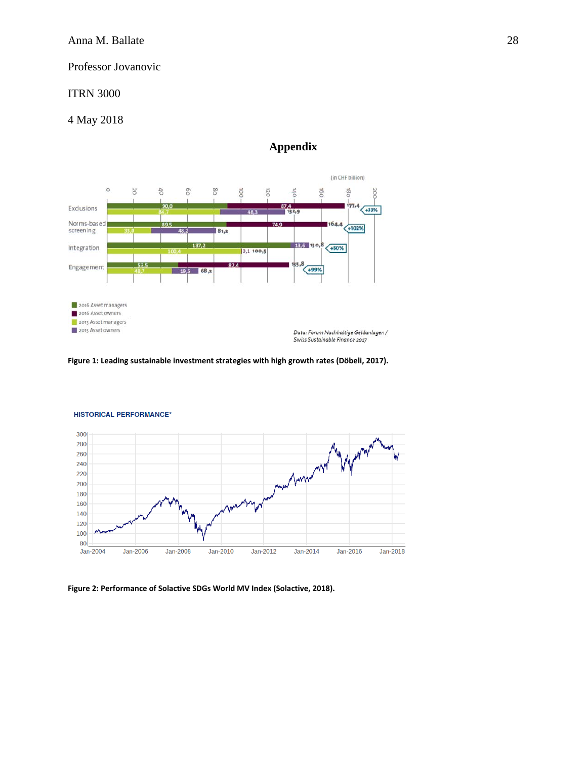## ITRN 3000

## 4 May 2018

## **Appendix**



**Figure 1: Leading sustainable investment strategies with high growth rates (Döbeli, 2017).**



#### **HISTORICAL PERFORMANCE\***

**Figure 2: Performance of Solactive SDGs World MV Index (Solactive, 2018).**